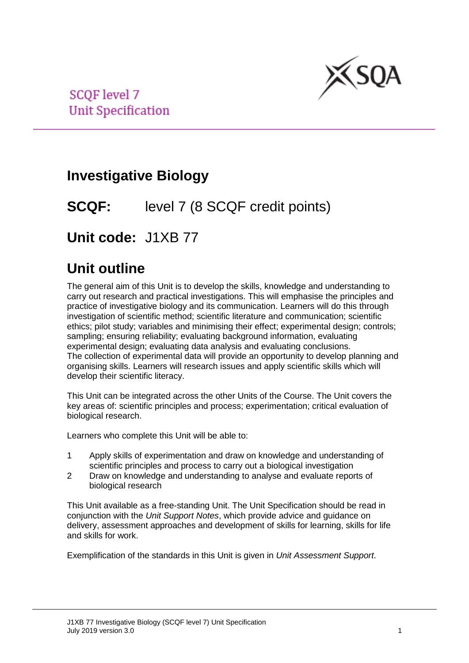

**SCOF level 7 Unit Specification** 

# **Investigative Biology**

## **SCQF:** level 7 (8 SCQF credit points)

# **Unit code:** J1XB 77

## **Unit outline**

The general aim of this Unit is to develop the skills, knowledge and understanding to carry out research and practical investigations. This will emphasise the principles and practice of investigative biology and its communication. Learners will do this through investigation of scientific method; scientific literature and communication; scientific ethics; pilot study; variables and minimising their effect; experimental design; controls; sampling; ensuring reliability; evaluating background information, evaluating experimental design; evaluating data analysis and evaluating conclusions. The collection of experimental data will provide an opportunity to develop planning and organising skills. Learners will research issues and apply scientific skills which will develop their scientific literacy.

This Unit can be integrated across the other Units of the Course. The Unit covers the key areas of: scientific principles and process; experimentation; critical evaluation of biological research.

Learners who complete this Unit will be able to:

- 1 Apply skills of experimentation and draw on knowledge and understanding of scientific principles and process to carry out a biological investigation
- 2 Draw on knowledge and understanding to analyse and evaluate reports of biological research

This Unit available as a free-standing Unit. The Unit Specification should be read in conjunction with the *Unit Support Notes*, which provide advice and guidance on delivery, assessment approaches and development of skills for learning, skills for life and skills for work.

Exemplification of the standards in this Unit is given in *Unit Assessment Support*.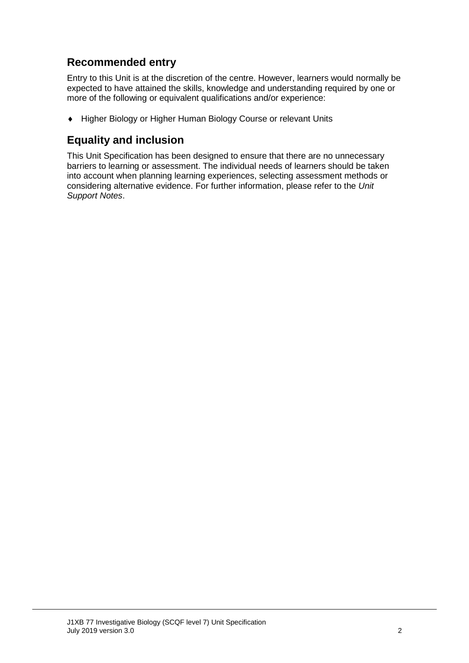## **Recommended entry**

Entry to this Unit is at the discretion of the centre. However, learners would normally be expected to have attained the skills, knowledge and understanding required by one or more of the following or equivalent qualifications and/or experience:

♦ Higher Biology or Higher Human Biology Course or relevant Units

### **Equality and inclusion**

This Unit Specification has been designed to ensure that there are no unnecessary barriers to learning or assessment. The individual needs of learners should be taken into account when planning learning experiences, selecting assessment methods or considering alternative evidence. For further information, please refer to the *Unit Support Notes*.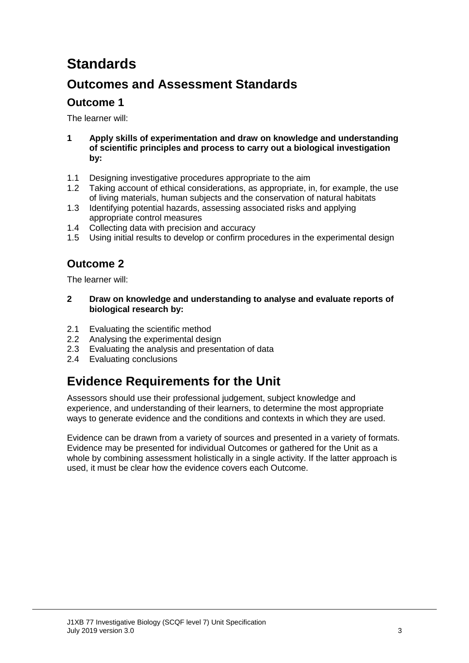# **Standards**

## **Outcomes and Assessment Standards**

### **Outcome 1**

The learner will:

- **1 Apply skills of experimentation and draw on knowledge and understanding of scientific principles and process to carry out a biological investigation by:**
- 1.1 Designing investigative procedures appropriate to the aim
- 1.2 Taking account of ethical considerations, as appropriate, in, for example, the use of living materials, human subjects and the conservation of natural habitats
- 1.3 Identifying potential hazards, assessing associated risks and applying appropriate control measures
- 1.4 Collecting data with precision and accuracy
- 1.5 Using initial results to develop or confirm procedures in the experimental design

## **Outcome 2**

The learner will:

- **2 Draw on knowledge and understanding to analyse and evaluate reports of biological research by:**
- 2.1 Evaluating the scientific method
- 2.2 Analysing the experimental design
- 2.3 Evaluating the analysis and presentation of data
- 2.4 Evaluating conclusions

# **Evidence Requirements for the Unit**

Assessors should use their professional judgement, subject knowledge and experience, and understanding of their learners, to determine the most appropriate ways to generate evidence and the conditions and contexts in which they are used.

Evidence can be drawn from a variety of sources and presented in a variety of formats. Evidence may be presented for individual Outcomes or gathered for the Unit as a whole by combining assessment holistically in a single activity. If the latter approach is used, it must be clear how the evidence covers each Outcome.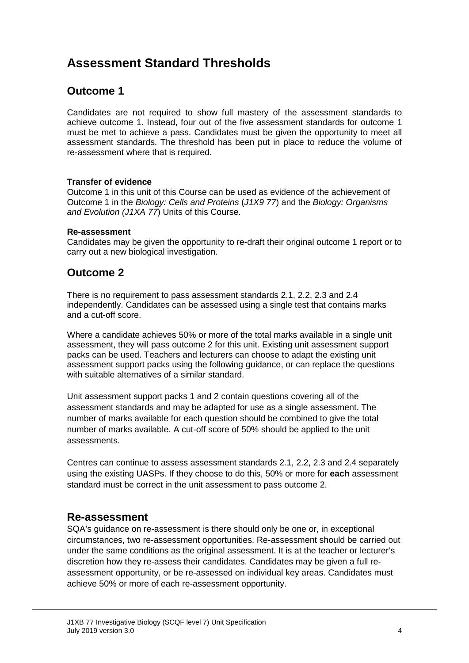## **Assessment Standard Thresholds**

### **Outcome 1**

Candidates are not required to show full mastery of the assessment standards to achieve outcome 1. Instead, four out of the five assessment standards for outcome 1 must be met to achieve a pass. Candidates must be given the opportunity to meet all assessment standards. The threshold has been put in place to reduce the volume of re-assessment where that is required.

#### **Transfer of evidence**

Outcome 1 in this unit of this Course can be used as evidence of the achievement of Outcome 1 in the *Biology: Cells and Proteins* (*J1X9 77*) and the *Biology: Organisms and Evolution (J1XA 77*) Units of this Course.

#### **Re-assessment**

Candidates may be given the opportunity to re-draft their original outcome 1 report or to carry out a new biological investigation.

#### **Outcome 2**

There is no requirement to pass assessment standards 2.1, 2.2, 2.3 and 2.4 independently. Candidates can be assessed using a single test that contains marks and a cut-off score.

Where a candidate achieves 50% or more of the total marks available in a single unit assessment, they will pass outcome 2 for this unit. Existing unit assessment support packs can be used. Teachers and lecturers can choose to adapt the existing unit assessment support packs using the following guidance, or can replace the questions with suitable alternatives of a similar standard.

Unit assessment support packs 1 and 2 contain questions covering all of the assessment standards and may be adapted for use as a single assessment. The number of marks available for each question should be combined to give the total number of marks available. A cut-off score of 50% should be applied to the unit assessments.

Centres can continue to assess assessment standards 2.1, 2.2, 2.3 and 2.4 separately using the existing UASPs. If they choose to do this, 50% or more for **each** assessment standard must be correct in the unit assessment to pass outcome 2.

#### **Re-assessment**

SQA's guidance on re-assessment is there should only be one or, in exceptional circumstances, two re-assessment opportunities. Re-assessment should be carried out under the same conditions as the original assessment. It is at the teacher or lecturer's discretion how they re-assess their candidates. Candidates may be given a full reassessment opportunity, or be re-assessed on individual key areas. Candidates must achieve 50% or more of each re-assessment opportunity.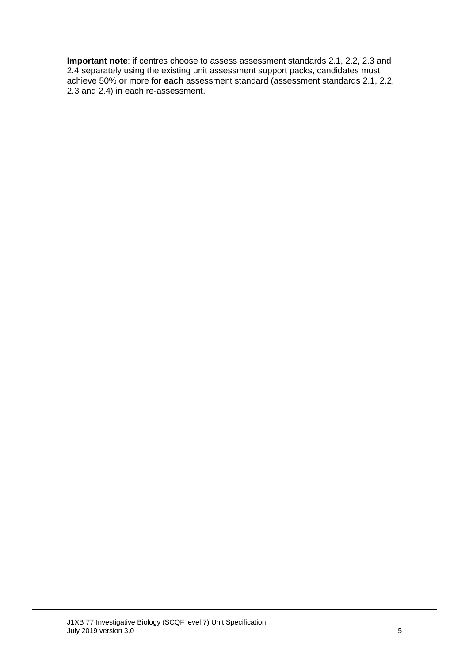**Important note**: if centres choose to assess assessment standards 2.1, 2.2, 2.3 and 2.4 separately using the existing unit assessment support packs, candidates must achieve 50% or more for **each** assessment standard (assessment standards 2.1, 2.2, 2.3 and 2.4) in each re-assessment.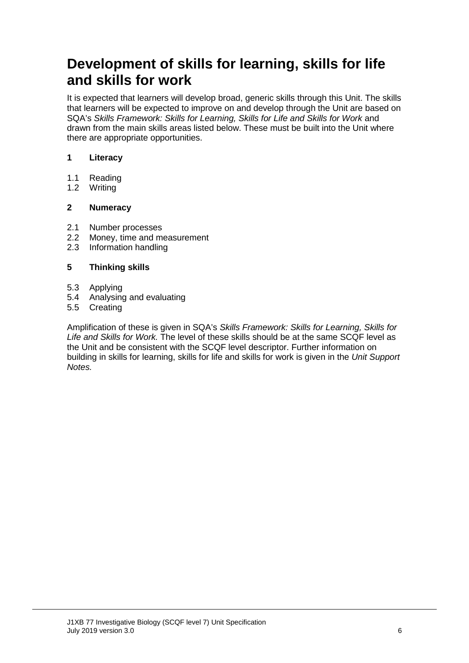# **Development of skills for learning, skills for life and skills for work**

It is expected that learners will develop broad, generic skills through this Unit. The skills that learners will be expected to improve on and develop through the Unit are based on SQA's *Skills Framework: Skills for Learning, Skills for Life and Skills for Work* and drawn from the main skills areas listed below. These must be built into the Unit where there are appropriate opportunities.

#### **1 Literacy**

- 1.1 Reading<br>1.2 Writing
- Writing

#### **2 Numeracy**

- 2.1 Number processes<br>2.2 Money, time and m
- 2.2 Money, time and measurement<br>2.3 Information handling
- Information handling

#### **5 Thinking skills**

- 5.3 Applying
- 5.4 Analysing and evaluating
- 5.5 Creating

Amplification of these is given in SQA's *Skills Framework: Skills for Learning, Skills for Life and Skills for Work.* The level of these skills should be at the same SCQF level as the Unit and be consistent with the SCQF level descriptor. Further information on building in skills for learning, skills for life and skills for work is given in the *Unit Support Notes.*